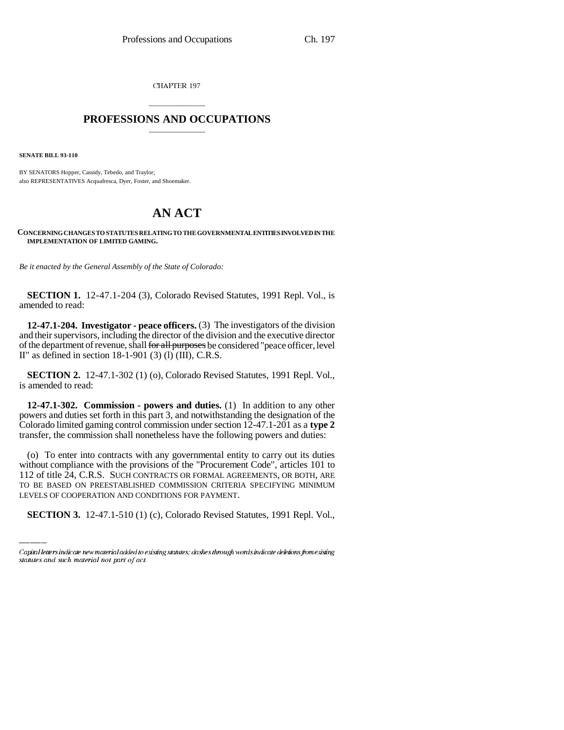CHAPTER 197

## \_\_\_\_\_\_\_\_\_\_\_\_\_\_\_ **PROFESSIONS AND OCCUPATIONS** \_\_\_\_\_\_\_\_\_\_\_\_\_\_\_

**SENATE BILL 93-110**

BY SENATORS Hopper, Cassidy, Tebedo, and Traylor; also REPRESENTATIVES Acquafresca, Dyer, Foster, and Shoemaker.

## **AN ACT**

**CONCERNING CHANGES TO STATUTES RELATING TO THE GOVERNMENTAL ENTITIES INVOLVED IN THE IMPLEMENTATION OF LIMITED GAMING.**

*Be it enacted by the General Assembly of the State of Colorado:*

**SECTION 1.** 12-47.1-204 (3), Colorado Revised Statutes, 1991 Repl. Vol., is amended to read:

**12-47.1-204. Investigator - peace officers.** (3) The investigators of the division and their supervisors, including the director of the division and the executive director of the department of revenue, shall for all purposes be considered "peace officer, level II" as defined in section  $18-1-901$  (3) (l) (III), C.R.S.

**SECTION 2.** 12-47.1-302 (1) (o), Colorado Revised Statutes, 1991 Repl. Vol., is amended to read:

**12-47.1-302. Commission - powers and duties.** (1) In addition to any other powers and duties set forth in this part 3, and notwithstanding the designation of the Colorado limited gaming control commission under section 12-47.1-201 as a **type 2** transfer, the commission shall nonetheless have the following powers and duties:

112 of title 24, C.R.S. SUCH CONTRACTS OR FORMAL AGREEMENTS, OR BOTH, ARE (o) To enter into contracts with any governmental entity to carry out its duties without compliance with the provisions of the "Procurement Code", articles 101 to TO BE BASED ON PREESTABLISHED COMMISSION CRITERIA SPECIFYING MINIMUM LEVELS OF COOPERATION AND CONDITIONS FOR PAYMENT.

**SECTION 3.** 12-47.1-510 (1) (c), Colorado Revised Statutes, 1991 Repl. Vol.,

Capital letters indicate new material added to existing statutes; dashes through words indicate deletions from existing statutes and such material not part of act.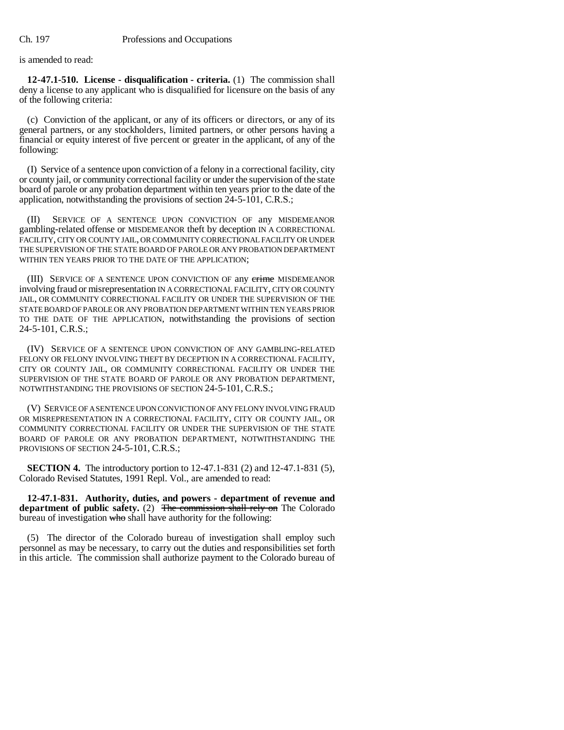is amended to read:

**12-47.1-510. License - disqualification - criteria.** (1) The commission shall deny a license to any applicant who is disqualified for licensure on the basis of any of the following criteria:

(c) Conviction of the applicant, or any of its officers or directors, or any of its general partners, or any stockholders, limited partners, or other persons having a financial or equity interest of five percent or greater in the applicant, of any of the following:

(I) Service of a sentence upon conviction of a felony in a correctional facility, city or county jail, or community correctional facility or under the supervision of the state board of parole or any probation department within ten years prior to the date of the application, notwithstanding the provisions of section 24-5-101, C.R.S.;

(II) SERVICE OF A SENTENCE UPON CONVICTION OF any MISDEMEANOR gambling-related offense or MISDEMEANOR theft by deception IN A CORRECTIONAL FACILITY, CITY OR COUNTY JAIL, OR COMMUNITY CORRECTIONAL FACILITY OR UNDER THE SUPERVISION OF THE STATE BOARD OF PAROLE OR ANY PROBATION DEPARTMENT WITHIN TEN YEARS PRIOR TO THE DATE OF THE APPLICATION;

(III) SERVICE OF A SENTENCE UPON CONVICTION OF any crime MISDEMEANOR involving fraud or misrepresentation IN A CORRECTIONAL FACILITY, CITY OR COUNTY JAIL, OR COMMUNITY CORRECTIONAL FACILITY OR UNDER THE SUPERVISION OF THE STATE BOARD OF PAROLE OR ANY PROBATION DEPARTMENT WITHIN TEN YEARS PRIOR TO THE DATE OF THE APPLICATION, notwithstanding the provisions of section 24-5-101, C.R.S.;

(IV) SERVICE OF A SENTENCE UPON CONVICTION OF ANY GAMBLING-RELATED FELONY OR FELONY INVOLVING THEFT BY DECEPTION IN A CORRECTIONAL FACILITY, CITY OR COUNTY JAIL, OR COMMUNITY CORRECTIONAL FACILITY OR UNDER THE SUPERVISION OF THE STATE BOARD OF PAROLE OR ANY PROBATION DEPARTMENT, NOTWITHSTANDING THE PROVISIONS OF SECTION 24-5-101, C.R.S.;

(V) SERVICE OF A SENTENCE UPON CONVICTION OF ANY FELONY INVOLVING FRAUD OR MISREPRESENTATION IN A CORRECTIONAL FACILITY, CITY OR COUNTY JAIL, OR COMMUNITY CORRECTIONAL FACILITY OR UNDER THE SUPERVISION OF THE STATE BOARD OF PAROLE OR ANY PROBATION DEPARTMENT, NOTWITHSTANDING THE PROVISIONS OF SECTION 24-5-101, C.R.S.;

**SECTION 4.** The introductory portion to 12-47.1-831 (2) and 12-47.1-831 (5), Colorado Revised Statutes, 1991 Repl. Vol., are amended to read:

**12-47.1-831. Authority, duties, and powers - department of revenue and department of public safety.** (2) The commission shall rely on The Colorado bureau of investigation who shall have authority for the following:

(5) The director of the Colorado bureau of investigation shall employ such personnel as may be necessary, to carry out the duties and responsibilities set forth in this article. The commission shall authorize payment to the Colorado bureau of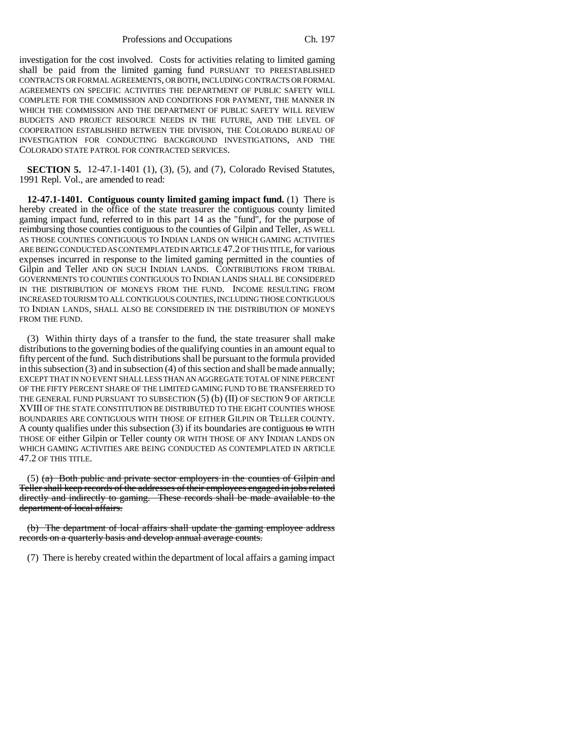Professions and Occupations Ch. 197

investigation for the cost involved. Costs for activities relating to limited gaming shall be paid from the limited gaming fund PURSUANT TO PREESTABLISHED CONTRACTS OR FORMAL AGREEMENTS, OR BOTH, INCLUDING CONTRACTS OR FORMAL AGREEMENTS ON SPECIFIC ACTIVITIES THE DEPARTMENT OF PUBLIC SAFETY WILL COMPLETE FOR THE COMMISSION AND CONDITIONS FOR PAYMENT, THE MANNER IN WHICH THE COMMISSION AND THE DEPARTMENT OF PUBLIC SAFETY WILL REVIEW BUDGETS AND PROJECT RESOURCE NEEDS IN THE FUTURE, AND THE LEVEL OF COOPERATION ESTABLISHED BETWEEN THE DIVISION, THE COLORADO BUREAU OF INVESTIGATION FOR CONDUCTING BACKGROUND INVESTIGATIONS, AND THE COLORADO STATE PATROL FOR CONTRACTED SERVICES.

**SECTION 5.** 12-47.1-1401 (1), (3), (5), and (7), Colorado Revised Statutes, 1991 Repl. Vol., are amended to read:

**12-47.1-1401. Contiguous county limited gaming impact fund.** (1) There is hereby created in the office of the state treasurer the contiguous county limited gaming impact fund, referred to in this part 14 as the "fund", for the purpose of reimbursing those counties contiguous to the counties of Gilpin and Teller, AS WELL AS THOSE COUNTIES CONTIGUOUS TO INDIAN LANDS ON WHICH GAMING ACTIVITIES ARE BEING CONDUCTED AS CONTEMPLATED IN ARTICLE 47.2 OF THIS TITLE, for various expenses incurred in response to the limited gaming permitted in the counties of Gilpin and Teller AND ON SUCH INDIAN LANDS. CONTRIBUTIONS FROM TRIBAL GOVERNMENTS TO COUNTIES CONTIGUOUS TO INDIAN LANDS SHALL BE CONSIDERED IN THE DISTRIBUTION OF MONEYS FROM THE FUND. INCOME RESULTING FROM INCREASED TOURISM TO ALL CONTIGUOUS COUNTIES, INCLUDING THOSE CONTIGUOUS TO INDIAN LANDS, SHALL ALSO BE CONSIDERED IN THE DISTRIBUTION OF MONEYS FROM THE FUND.

(3) Within thirty days of a transfer to the fund, the state treasurer shall make distributions to the governing bodies of the qualifying counties in an amount equal to fifty percent of the fund. Such distributions shall be pursuant to the formula provided in this subsection (3) and in subsection (4) of this section and shall be made annually; EXCEPT THAT IN NO EVENT SHALL LESS THAN AN AGGREGATE TOTAL OF NINE PERCENT OF THE FIFTY PERCENT SHARE OF THE LIMITED GAMING FUND TO BE TRANSFERRED TO THE GENERAL FUND PURSUANT TO SUBSECTION  $(5)$   $(b)$   $(II)$  OF SECTION 9 OF ARTICLE XVIII OF THE STATE CONSTITUTION BE DISTRIBUTED TO THE EIGHT COUNTIES WHOSE BOUNDARIES ARE CONTIGUOUS WITH THOSE OF EITHER GILPIN OR TELLER COUNTY. A county qualifies under this subsection  $(3)$  if its boundaries are contiguous to WITH THOSE OF either Gilpin or Teller county OR WITH THOSE OF ANY INDIAN LANDS ON WHICH GAMING ACTIVITIES ARE BEING CONDUCTED AS CONTEMPLATED IN ARTICLE 47.2 OF THIS TITLE.

 $(5)$  (a) Both public and private sector employers in the counties of Gilpin and Teller shall keep records of the addresses of their employees engaged in jobs related directly and indirectly to gaming. These records shall be made available to the department of local affairs.

(b) The department of local affairs shall update the gaming employee address records on a quarterly basis and develop annual average counts.

(7) There is hereby created within the department of local affairs a gaming impact